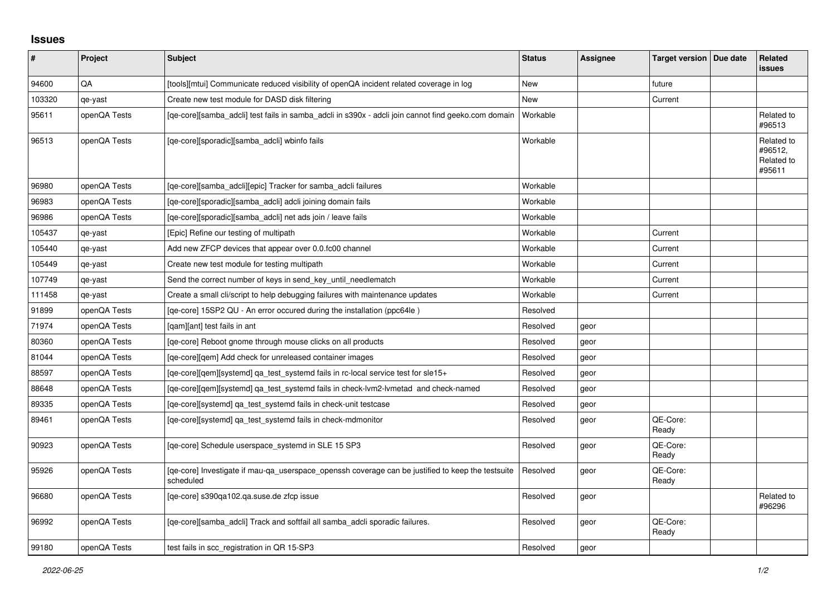## **Issues**

| ∦      | Project      | <b>Subject</b>                                                                                                 | <b>Status</b> | Assignee | Target version   Due date | Related<br><b>issues</b>                      |
|--------|--------------|----------------------------------------------------------------------------------------------------------------|---------------|----------|---------------------------|-----------------------------------------------|
| 94600  | QA           | [tools][mtui] Communicate reduced visibility of openQA incident related coverage in log                        | <b>New</b>    |          | future                    |                                               |
| 103320 | qe-yast      | Create new test module for DASD disk filtering                                                                 | New           |          | Current                   |                                               |
| 95611  | openQA Tests | [ge-core][samba adcli] test fails in samba adcli in s390x - adcli join cannot find geeko.com domain            | Workable      |          |                           | Related to<br>#96513                          |
| 96513  | openQA Tests | [qe-core][sporadic][samba_adcli] wbinfo fails                                                                  | Workable      |          |                           | Related to<br>#96512,<br>Related to<br>#95611 |
| 96980  | openQA Tests | [ge-core][samba adcli][epic] Tracker for samba adcli failures                                                  | Workable      |          |                           |                                               |
| 96983  | openQA Tests | [ge-core][sporadic][samba adcli] adcli joining domain fails                                                    | Workable      |          |                           |                                               |
| 96986  | openQA Tests | [ge-core][sporadic][samba adcli] net ads join / leave fails                                                    | Workable      |          |                           |                                               |
| 105437 | qe-yast      | [Epic] Refine our testing of multipath                                                                         | Workable      |          | Current                   |                                               |
| 105440 | qe-yast      | Add new ZFCP devices that appear over 0.0.fc00 channel                                                         | Workable      |          | Current                   |                                               |
| 105449 | qe-yast      | Create new test module for testing multipath                                                                   | Workable      |          | Current                   |                                               |
| 107749 | qe-yast      | Send the correct number of keys in send key until needlematch                                                  | Workable      |          | Current                   |                                               |
| 111458 | qe-yast      | Create a small cli/script to help debugging failures with maintenance updates                                  | Workable      |          | Current                   |                                               |
| 91899  | openQA Tests | [qe-core] 15SP2 QU - An error occured during the installation (ppc64le)                                        | Resolved      |          |                           |                                               |
| 71974  | openQA Tests | [gam][ant] test fails in ant                                                                                   | Resolved      | geor     |                           |                                               |
| 80360  | openQA Tests | [qe-core] Reboot gnome through mouse clicks on all products                                                    | Resolved      | geor     |                           |                                               |
| 81044  | openQA Tests | [qe-core][qem] Add check for unreleased container images                                                       | Resolved      | geor     |                           |                                               |
| 88597  | openQA Tests | [qe-core][qem][systemd] qa_test_systemd fails in rc-local service test for sle15+                              | Resolved      | geor     |                           |                                               |
| 88648  | openQA Tests | [ge-core][gem][systemd] ga test systemd fails in check-lym2-lymetad and check-named                            | Resolved      | geor     |                           |                                               |
| 89335  | openQA Tests | [qe-core][systemd] qa_test_systemd fails in check-unit testcase                                                | Resolved      | geor     |                           |                                               |
| 89461  | openQA Tests | [qe-core][systemd] qa_test_systemd fails in check-mdmonitor                                                    | Resolved      | geor     | QE-Core:<br>Ready         |                                               |
| 90923  | openQA Tests | [qe-core] Schedule userspace_systemd in SLE 15 SP3                                                             | Resolved      | geor     | QE-Core:<br>Ready         |                                               |
| 95926  | openQA Tests | [ge-core] Investigate if mau-ga userspace openssh coverage can be justified to keep the testsuite<br>scheduled | Resolved      | geor     | QE-Core:<br>Ready         |                                               |
| 96680  | openQA Tests | [ge-core] s390ga102.ga.suse.de zfcp issue                                                                      | Resolved      | geor     |                           | Related to<br>#96296                          |
| 96992  | openQA Tests | [qe-core][samba_adcli] Track and softfail all samba_adcli sporadic failures.                                   | Resolved      | geor     | QE-Core:<br>Ready         |                                               |
| 99180  | openQA Tests | test fails in scc registration in QR 15-SP3                                                                    | Resolved      | geor     |                           |                                               |